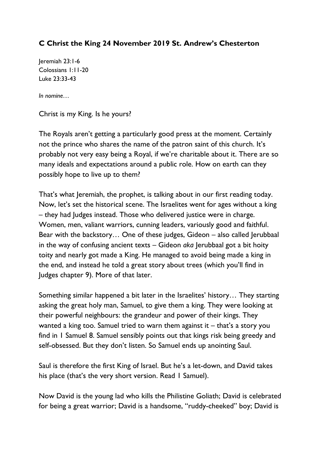## **C Christ the King 24 November 2019 St. Andrew's Chesterton**

Jeremiah 23:1-6 Colossians 1:11-20 Luke 23:33-43

*In nomine…*

Christ is my King. Is he yours?

The Royals aren't getting a particularly good press at the moment. Certainly not the prince who shares the name of the patron saint of this church. It's probably not very easy being a Royal, if we're charitable about it. There are so many ideals and expectations around a public role. How on earth can they possibly hope to live up to them?

That's what Jeremiah, the prophet, is talking about in our first reading today. Now, let's set the historical scene. The Israelites went for ages without a king – they had Judges instead. Those who delivered justice were in charge. Women, men, valiant warriors, cunning leaders, variously good and faithful. Bear with the backstory… One of these judges, Gideon – also called Jerubbaal in the way of confusing ancient texts – Gideon *aka* Jerubbaal got a bit hoity toity and nearly got made a King. He managed to avoid being made a king in the end, and instead he told a great story about trees (which you'll find in Judges chapter 9). More of that later.

Something similar happened a bit later in the Israelites' history… They starting asking the great holy man, Samuel, to give them a king. They were looking at their powerful neighbours: the grandeur and power of their kings. They wanted a king too. Samuel tried to warn them against it – that's a story you find in 1 Samuel 8. Samuel sensibly points out that kings risk being greedy and self-obsessed. But they don't listen. So Samuel ends up anointing Saul.

Saul is therefore the first King of Israel. But he's a let-down, and David takes his place (that's the very short version. Read 1 Samuel).

Now David is the young lad who kills the Philistine Goliath; David is celebrated for being a great warrior; David is a handsome, "ruddy-cheeked" boy; David is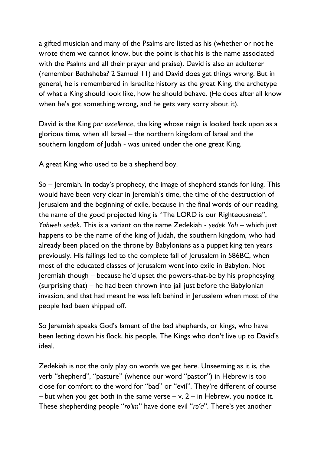a gifted musician and many of the Psalms are listed as his (whether or not he wrote them we cannot know, but the point is that his is the name associated with the Psalms and all their prayer and praise). David is also an adulterer (remember Bathsheba? 2 Samuel 11) and David does get things wrong. But in general, he is remembered in Israelite history as the great King, the archetype of what a King should look like, how he should behave. (He does after all know when he's got something wrong, and he gets very sorry about it).

David is the King *par excellence*, the king whose reign is looked back upon as a glorious time, when all Israel – the northern kingdom of Israel and the southern kingdom of Judah - was united under the one great King.

A great King who used to be a shepherd boy.

So – Jeremiah. In today's prophecy, the image of shepherd stands for king. This would have been very clear in Jeremiah's time, the time of the destruction of Jerusalem and the beginning of exile, because in the final words of our reading, the name of the good projected king is "The LORD is our Righteousness", *Yahweh ṣedek*. This is a variant on the name Zedekiah - *ṣedek Yah –* which just happens to be the name of the king of Judah, the southern kingdom, who had already been placed on the throne by Babylonians as a puppet king ten years previously. His failings led to the complete fall of Jerusalem in 586BC, when most of the educated classes of Jerusalem went into exile in Babylon. Not Jeremiah though – because he'd upset the powers-that-be by his prophesying (surprising that) – he had been thrown into jail just before the Babylonian invasion, and that had meant he was left behind in Jerusalem when most of the people had been shipped off.

So Jeremiah speaks God's lament of the bad shepherds, or kings, who have been letting down his flock, his people. The Kings who don't live up to David's ideal.

Zedekiah is not the only play on words we get here. Unseeming as it is, the verb "shepherd", "pasture" (whence our word "pastor") in Hebrew is too close for comfort to the word for "bad" or "evil". They're different of course  $-$  but when you get both in the same verse  $-$  v. 2  $-$  in Hebrew, you notice it. These shepherding people "*ro'im*" have done evil "*ro'a*". There's yet another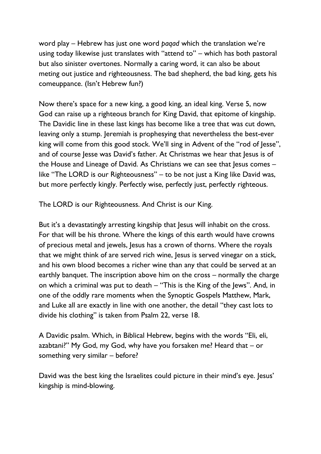word play – Hebrew has just one word *paqad* which the translation we're using today likewise just translates with "attend to" – which has both pastoral but also sinister overtones. Normally a caring word, it can also be about meting out justice and righteousness. The bad shepherd, the bad king, gets his comeuppance. (Isn't Hebrew fun?)

Now there's space for a new king, a good king, an ideal king. Verse 5, now God can raise up a righteous branch for King David, that epitome of kingship. The Davidic line in these last kings has become like a tree that was cut down, leaving only a stump. Jeremiah is prophesying that nevertheless the best-ever king will come from this good stock. We'll sing in Advent of the "rod of Jesse", and of course Jesse was David's father. At Christmas we hear that Jesus is of the House and Lineage of David. As Christians we can see that Jesus comes – like "The LORD is our Righteousness" – to be not just a King like David was, but more perfectly kingly. Perfectly wise, perfectly just, perfectly righteous.

The LORD is our Righteousness. And Christ is our King.

But it's a devastatingly arresting kingship that Jesus will inhabit on the cross. For that will be his throne. Where the kings of this earth would have crowns of precious metal and jewels, Jesus has a crown of thorns. Where the royals that we might think of are served rich wine, Jesus is served vinegar on a stick, and his own blood becomes a richer wine than any that could be served at an earthly banquet. The inscription above him on the cross – normally the charge on which a criminal was put to death – "This is the King of the Jews". And, in one of the oddly rare moments when the Synoptic Gospels Matthew, Mark, and Luke all are exactly in line with one another, the detail "they cast lots to divide his clothing" is taken from Psalm 22, verse 18.

A Davidic psalm. Which, in Biblical Hebrew, begins with the words "Eli, eli, azabtani?" My God, my God, why have you forsaken me? Heard that – or something very similar – before?

David was the best king the Israelites could picture in their mind's eye. Jesus' kingship is mind-blowing.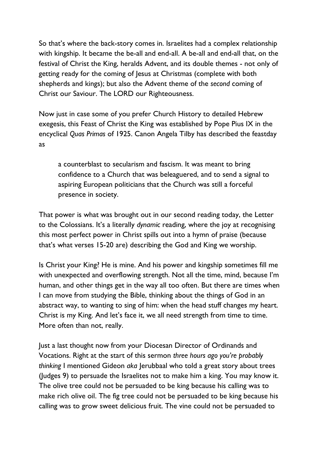So that's where the back-story comes in. Israelites had a complex relationship with kingship. It became the be-all and end-all. A be-all and end-all that, on the festival of Christ the King, heralds Advent, and its double themes - not only of getting ready for the coming of Jesus at Christmas (complete with both shepherds and kings); but also the Advent theme of the *second* coming of Christ our Saviour. The LORD our Righteousness.

Now just in case some of you prefer Church History to detailed Hebrew exegesis, this Feast of Christ the King was established by Pope Pius IX in the encyclical *Quas Primas* of 1925. Canon Angela Tilby has described the feastday as

a counterblast to secularism and fascism. It was meant to bring confidence to a Church that was beleaguered, and to send a signal to aspiring European politicians that the Church was still a forceful presence in society.

That power is what was brought out in our second reading today, the Letter to the Colossians. It's a literally *dynamic* reading, where the joy at recognising this most perfect power in Christ spills out into a hymn of praise (because that's what verses 15-20 are) describing the God and King we worship.

Is Christ your King? He is mine. And his power and kingship sometimes fill me with unexpected and overflowing strength. Not all the time, mind, because I'm human, and other things get in the way all too often. But there are times when I can move from studying the Bible, thinking about the things of God in an abstract way, to wanting to sing of him: when the head stuff changes my heart. Christ is my King. And let's face it, we all need strength from time to time. More often than not, really.

Just a last thought now from your Diocesan Director of Ordinands and Vocations. Right at the start of this sermon *three hours ago you're probably thinking* I mentioned Gideon *aka* Jerubbaal who told a great story about trees (Judges 9) to persuade the Israelites not to make him a king. You may know it. The olive tree could not be persuaded to be king because his calling was to make rich olive oil. The fig tree could not be persuaded to be king because his calling was to grow sweet delicious fruit. The vine could not be persuaded to